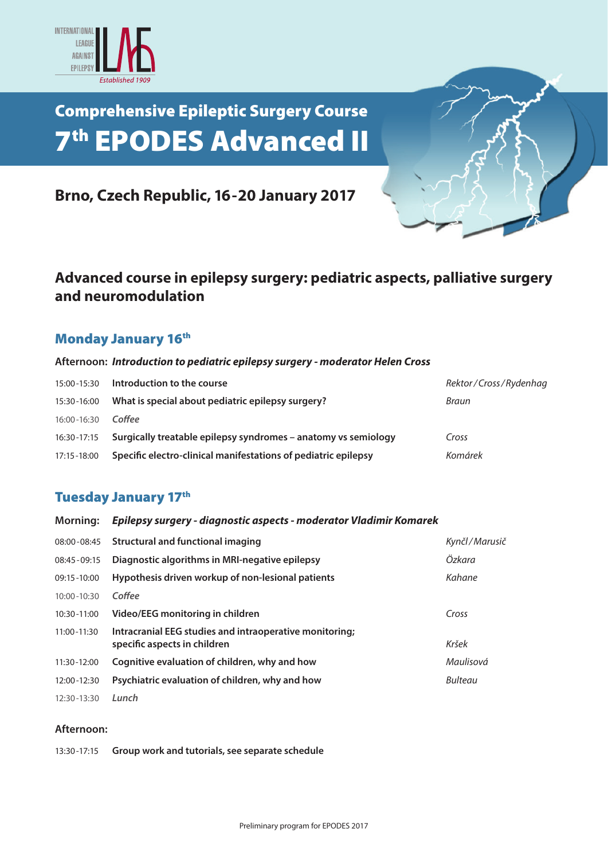

## Comprehensive Epileptic Surgery Course 7th EPODES Advanced II



## **Advanced course in epilepsy surgery: pediatric aspects, palliative surgery and neuromodulation**

### **Monday January 16th**

#### **Afternoon:** *Introduction to pediatric epilepsy surgery - moderator Helen Cross*

| 15:00-15:30 | Introduction to the course                                     | Rektor/Cross/Rydenhag |
|-------------|----------------------------------------------------------------|-----------------------|
| 15:30-16:00 | What is special about pediatric epilepsy surgery?              | Braun                 |
| 16:00-16:30 | Coffee                                                         |                       |
| 16:30-17:15 | Surgically treatable epilepsy syndromes - anatomy vs semiology | Cross                 |
| 17:15-18:00 | Specific electro-clinical manifestations of pediatric epilepsy | Komárek               |

### **Tuesday January 17th**

| <b>Morning:</b> | Epilepsy surgery - diagnostic aspects - moderator Vladimir Komarek                      |                |  |
|-----------------|-----------------------------------------------------------------------------------------|----------------|--|
| 08:00-08:45     | <b>Structural and functional imaging</b>                                                | Kynčl/Marusič  |  |
| $08:45 - 09:15$ | Diagnostic algorithms in MRI-negative epilepsy                                          | Özkara         |  |
| 09:15-10:00     | Hypothesis driven workup of non-lesional patients                                       | Kahane         |  |
| $10:00 - 10:30$ | Coffee                                                                                  |                |  |
| 10:30-11:00     | Video/EEG monitoring in children                                                        | Cross          |  |
| 11:00-11:30     | Intracranial EEG studies and intraoperative monitoring;<br>specific aspects in children | Kršek          |  |
| 11:30-12:00     | Cognitive evaluation of children, why and how                                           | Maulisová      |  |
| 12:00-12:30     | Psychiatric evaluation of children, why and how                                         | <b>Bulteau</b> |  |
| 12:30-13:30     | Lunch                                                                                   |                |  |

#### **Afternoon:**

13:30-17:15 **Group work and tutorials, see separate schedule**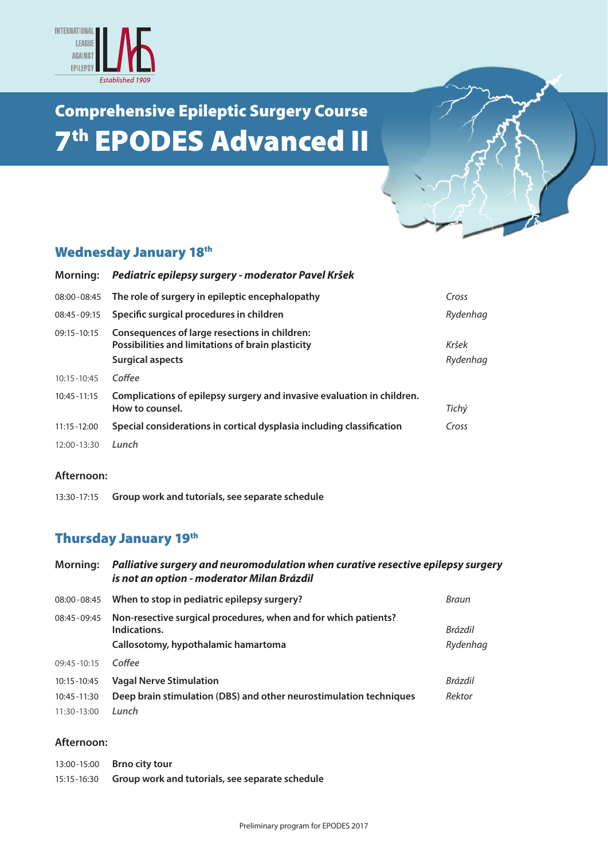

# Comprehensive Epileptic Surgery Course **7th EPODES Advanced II**



## Wednesday January 18<sup>th</sup>

| Morning:        | Pediatric epilepsy surgery - moderator Pavel Kršek                                                                            |                   |
|-----------------|-------------------------------------------------------------------------------------------------------------------------------|-------------------|
| 08:00 - 08:45   | The role of surgery in epileptic encephalopathy                                                                               | Cross             |
| 08:45 - 09:15   | Specific surgical procedures in children                                                                                      | Rydenhag          |
| $09:15 - 10:15$ | Consequences of large resections in children:<br>Possibilities and limitations of brain plasticity<br><b>Surgical aspects</b> | Kršek<br>Rydenhag |
| $10:15 - 10:45$ | Coffee                                                                                                                        |                   |
| $10:45 - 11:15$ | Complications of epilepsy surgery and invasive evaluation in children.<br>How to counsel.                                     | Tichý             |
| $11:15 - 12:00$ | Special considerations in cortical dysplasia including classification                                                         | Cross             |
| 12:00-13:30     | Lunch                                                                                                                         |                   |

#### **Afternoon:**

13:30-17:15 **Group work and tutorials, see separate schedule**

## Thursday January 19th

| <b>Morning:</b> | Palliative surgery and neuromodulation when curative resective epilepsy surgery<br>is not an option - moderator Milan Brázdil |                     |  |
|-----------------|-------------------------------------------------------------------------------------------------------------------------------|---------------------|--|
| 08:00 - 08:45   | When to stop in pediatric epilepsy surgery?                                                                                   | Braun               |  |
| 08:45 - 09:45   | Non-resective surgical procedures, when and for which patients?<br>Indications.<br>Callosotomy, hypothalamic hamartoma        | Brázdil<br>Rydenhag |  |
| $09:45 - 10:15$ | Coffee                                                                                                                        |                     |  |
| 10:15 - 10:45   | <b>Vagal Nerve Stimulation</b>                                                                                                | <b>Brázdil</b>      |  |
| 10:45 - 11:30   | Deep brain stimulation (DBS) and other neurostimulation techniques                                                            | Rektor              |  |
| 11:30-13:00     | Lunch                                                                                                                         |                     |  |

#### **Afternoon:**

| 13:00-15:00   | <b>Brno city tour</b>                           |
|---------------|-------------------------------------------------|
| 15:15 - 16:30 | Group work and tutorials, see separate schedule |